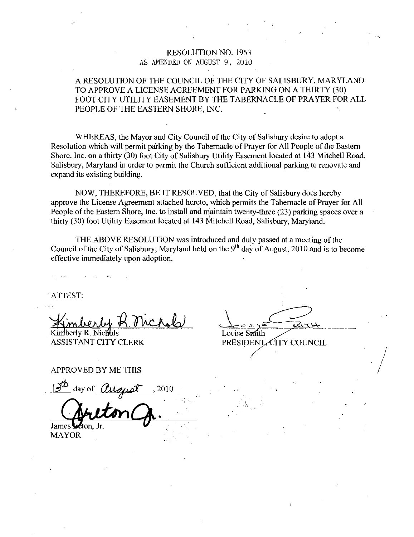### RESOLUTION NO. 1953 AS AMENDED ON AUGUST 9, 2010

### A RESOLUTION OF THE COUNCIL OF THE CITY OF SALISBURY, MARYLAND TO APPROVE A LICENSE AGREEMENT FOR PARKING ON A THIRTY (30) FOOT CITY UTILITY EASEMENT BY THE TABERNACLE OF PRAYER FOR ALL PEOPLE OF THE EASTERN SHORE, INC.

WHEREAS, the Mayor and City Council of the City of Salisbury desire to adopt a Resolution which will permit parking by the Tabernacle of Prayer for All People of the Eastern Shore, Inc. on a thirty (30) foot City of Salisbury Utility Easement located at 143 Mitchell Road, Salisbury, Maryland in order to permit the Church sufficient additional parking to renovate and expand its existing building

NOW, THEREFORE, BE IT RESOLVED, that the City of Salisbury does hereby approve the License Agreement attached hereto, which permits the Tabernacle of Prayer for All People of the Eastern Shore, Inc. to install and maintain twenty-three  $(23)$  parking spaces over a thirty (30) foot Utility Easement located at 143 Mitchell Road, Salisbury, Maryland.

THE ABOVE RESOLUTION was introduced and duly passed at a meeting of the Council of the City of Salisbury, Maryland held on the 9<sup>th</sup> day of August, 2010 and is to become effective immediately upon adoption

ATTEST

Kimberly R. Nichbls

ASSISTANT CITY CLERK

Louise Smith PRESIDENT. CITY COUNCIL

1

1

APPROVED BY ME THIS

day of  $\overline{\theta}$ James !

MAYOR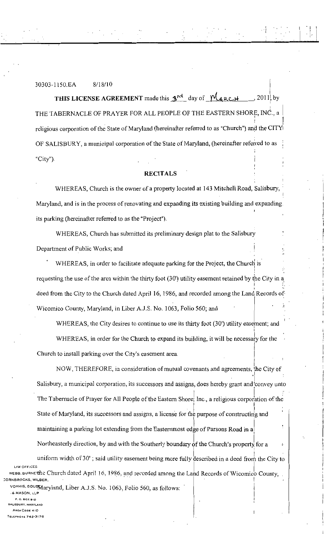# 30303-1150.EA 8/18/10

THIS LICENSE AGREEMENT made this  $3^{rd}$  day of  $M_{\text{ARCH}}$ , 2011, by THE TABERNACLE OF PRAYER FOR ALL PEOPLE OF THE EASTERN SHORE, INC., a religious corporation of the State of Maryland (hereinafter referred to as "Church") and the CITY OF SALISBURY, a municipal corporation of the State of Maryland, (hereinafter referred to as " $City$ ").

### RECITALS

WHEREAS, Church is the owner of a property located at 143 Mitchell Road, Salisbury, Maryland, and is in the process of renovating and expanding its existing building and expanding. its parking (hereinafter referred to as the "Project").

WHEREAS, Church has submitted its preliminary design plat to the Salisbury Department of Public Works; and

WHEREAS, in order to facilitate adequate parking for the Project, the Church is requesting the use of the area within the thirty foot (30') utility easement retained by the City in a I I deed from the City to the Church dated April 16, 1986, and recorded among the Land Records of Wicomico County, Maryland, in Liber A.J.S. No. 1063, Folio 560; and

WHEREAS, the City desires to continue to use its thirty foot (30') utility easement; and

WHEREAS, in order for the Church to expand its building, it will be necessary for the Church to install parking over the City's easement area.

NOW, THEREFORE, in consideration of mutual covenants and agreements, the City of Salisbury, a municipal corporation, its successors and assigns, does hereby grant and convey unto The Tabernacle of Prayer for All People of the Eastern Shore; Inc., a religious corporation of the State of Maryland, its successors and assigns, a license for the purpose of constructing and maintaining a parking lot extending from the Easternmost edge of Parsons Road in a Northeasterly direction, by and with the Southerly boundary of the Church's property for a

uniform width of 30'; said utility easement being more fully described in a deed from the City to LAW OFFICES WEBB BURNE the Church dated April 16, 1986, and recorded among the Land Records of Wicomico County,

vorhis pous Maryland, Liber A.J.S. No. 1063, Folio 560, as follows:

P.O. BOX 910 ALISBURY, MARYLAND AREA CODE 410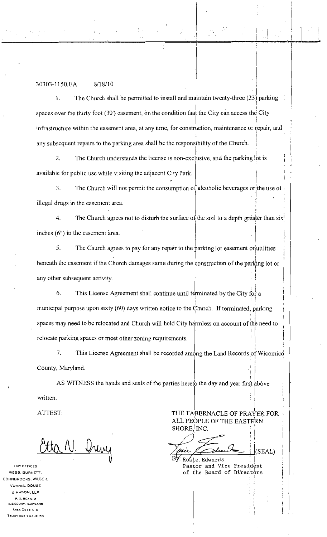## 30303-1150.EA 8/18/10

The Church shall be permitted to install and maintain twenty-three  $(23)$  parking  $\mathbf{1}$ spaces over the thirty foot (30') easement, on the condition that the City can access the City infrastructure within the easement area, at any time, for construction, maintenance or repair, and any subsequent repairs to the parking area shall be the responsibility of the Church.

2. The Church understands the license is non-exclusive, and the parking  $\int$ ot is available for public use while visiting the adjacent City Park

3. The Church will not permit the consumption of alcoholic beverages or the use of illegal drugs in the easement area l

4. The Church agrees not to disturb the surface of the soil to a depth greater than six<sup>1</sup> inches  $(6)$  in the easement area.

5. The Church agrees to pay for any repair to the parking lot easement or jutilities beneath the easement if the Church damages same during the construction of the parking lot or any other subsequent activity

6. This License Agreement shall continue until terminated by the City for a municipal purpose upon sixty (60) days written notice to the Church. If terminated, parking  $\frac{1}{2}$ municipal purpose upon sixty (60) days written notice to the Church. If terminated, parking<br>spaces may need to be relocated and Church will hold City harmless on account of the need to relocate parking spaces or meet other zoning requirements

7. This License Agreement shall be recorded among the Land Records of Wicomico i County, Maryland.

AS WITNESS the hands and seals of the parties hereto the day and year first above written

atta N. Drivy

LAW OFFICES WEBS, BURNETT, CORNBROONS WILBER VORHIS, DOUSE 6 MASON LLP P. O. BOX 910 ALISBURY, MARYLAND AREA COOE 410<br>TELEPHONE 742-3176 ORNBROOKS, WILBER,<br>VORHIS, DOUSE<br>& MASON, LLP<br>P. O. BOX 910<br>SALISBURY, MARYLAND<br>AREA COOE 410<br>TELEPHONE 742-3176

ATTEST: THE TABERNACLE OF PRAYER FOR ALL PEOPLE OF THE EASTERN<br>
SHORE, INC.<br>
and the state of the state of the state of the state of the state of the state of the state of the state of the state of the state of the state of the state of the state of the state

I

i

 $\frac{1}{2}$ 

 $(SEAL)$ Rosie Edwards Pastor and Vice President of the Board of Directors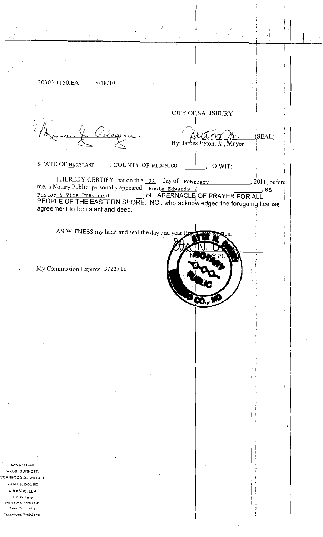| 30303-1150.EA<br>8/18/10                                                                                                                      |                              |                                          |  |
|-----------------------------------------------------------------------------------------------------------------------------------------------|------------------------------|------------------------------------------|--|
|                                                                                                                                               |                              |                                          |  |
|                                                                                                                                               | CITY OF SALISBURY            |                                          |  |
|                                                                                                                                               |                              |                                          |  |
|                                                                                                                                               |                              | (SEAL)                                   |  |
|                                                                                                                                               | By: James Ireton, Jr., Mayor |                                          |  |
| STATE OF MARYLAND<br>, COUNTY OF WICOMICO                                                                                                     | , TO WIT:                    |                                          |  |
| I HEREBY CERTIFY that on this $22$ day of February                                                                                            |                              |                                          |  |
| me, a Notary Public, personally appeared Rosie Edwards                                                                                        |                              | $\frac{1}{2}$ , 2011, before<br>$i$ , as |  |
| Pastor & Vice President ________ of TABERNACLE OF PRAYER FOR ALL<br>PEOPLE OF THE EASTERN SHORE, INC., who acknowledged the foregoing license |                              |                                          |  |
| agreement to be its act and deed.                                                                                                             |                              |                                          |  |
| AS WITNESS my hand and seal the day and year first above with                                                                                 | itten.                       |                                          |  |
|                                                                                                                                               |                              |                                          |  |
|                                                                                                                                               |                              |                                          |  |
| My Commission Expires: 3/23/11                                                                                                                |                              |                                          |  |
|                                                                                                                                               |                              |                                          |  |
|                                                                                                                                               |                              |                                          |  |
|                                                                                                                                               |                              |                                          |  |
|                                                                                                                                               |                              |                                          |  |
|                                                                                                                                               |                              |                                          |  |
|                                                                                                                                               |                              |                                          |  |
|                                                                                                                                               |                              |                                          |  |
|                                                                                                                                               |                              |                                          |  |
|                                                                                                                                               |                              |                                          |  |
|                                                                                                                                               |                              |                                          |  |
|                                                                                                                                               |                              |                                          |  |
|                                                                                                                                               |                              |                                          |  |
|                                                                                                                                               |                              |                                          |  |
|                                                                                                                                               |                              |                                          |  |
| LAW OFFICES<br>WEBB, BURNETT,                                                                                                                 |                              |                                          |  |
| RNBROOKS, WILBER,<br><b>VORHIS, DOUSE</b>                                                                                                     |                              |                                          |  |
| & MASON, LLP<br>P.O. BOX 910<br>SALISBURY, MARYLAND                                                                                           |                              |                                          |  |
| AREA CODE 410                                                                                                                                 |                              |                                          |  |

 $\frac{1}{2}$ 

WEE ORNB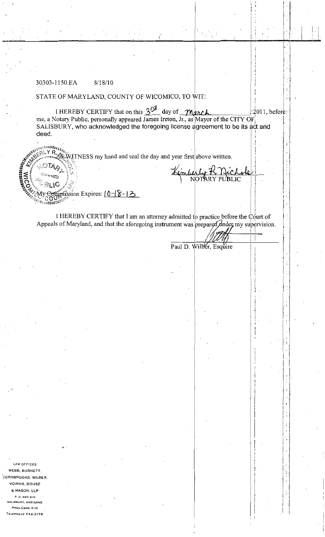### 30303-1150.EA  $8/18/10$

## STATE OF MARYLAND, COUNTY OF WICOMICO, TO WIT:

I HEREBY CERTIFY that on this  $3^{\cancel{c}}$  day of *March*<br>me, a Notary Public, personally appeared James Ireton, Jr., as Mayor of the CITY OF  $2011$ , before SALISBURY, who acknowledged the foregoing license agreement to be its act and deed.

TNESS my hand and seal the day and year first above written.

imberly R. Nich

 $m$ mission Expires:  $(0 - 8 - 13)$ 

I HEREBY CERTIFY that I am an attorney admitted to practice before the  $\dot{\mathbb{C}}$  ourt of Appeals of Maryland, and that the aforegoing instrument was prepared  $\Delta$  mder my supervision.

Paul D. Wilber, Esquire

**NOFFICES** WEBB, BURNETT, CORNBROOKS, WILBER, **VORHIS, DOUSE** & MASON, LLP  $P. O. BOX BIO$ SALISBURY, MARYLAND AREA CODE 410 TELEPHONE 742-3176